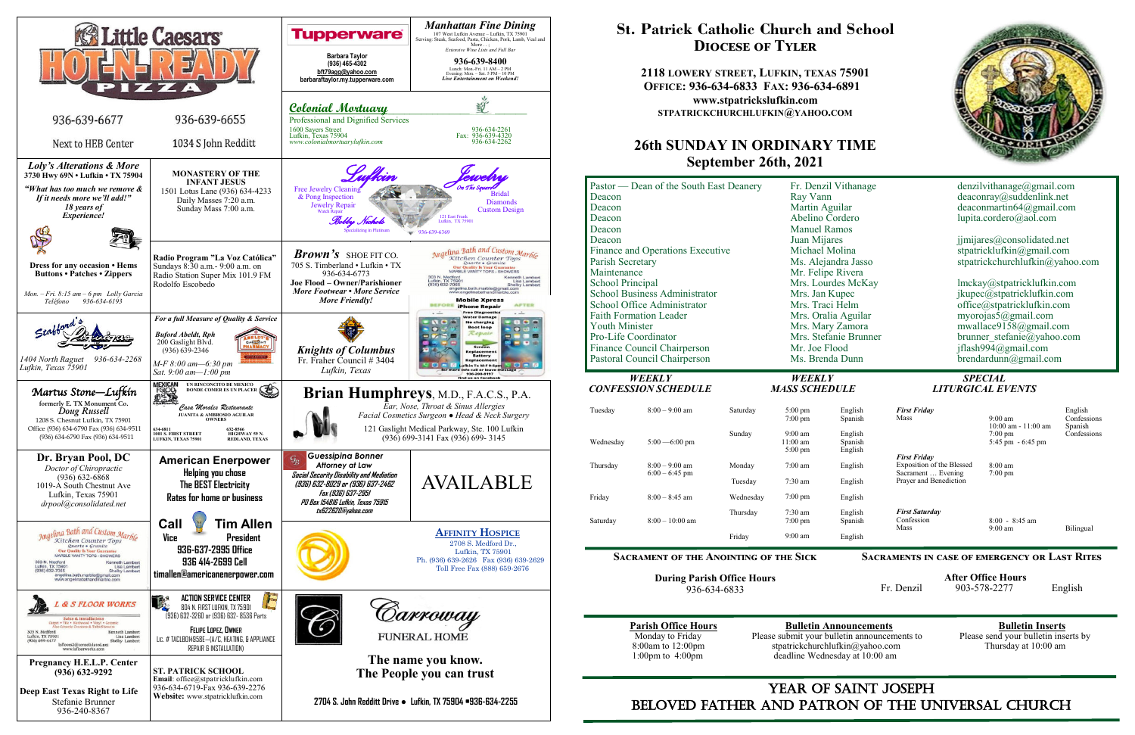

## YEAR OF SAINT JOSEPH beloved father AND Patron of the Universal Church

## **St. Patrick Catholic Church and School Diocese of Tyler**

**2118 LOWERY STREET, LUFKIN, TEXAS 75901 OFFICE: 936-634-6833 FAX: 936-634-6891 www.stpatrickslufkin.com STPATRICKCHURCHLUFKIN@YAHOO.COM**

## **26th SUNDAY IN ORDINARY TIME September 26th, 2021**

| Pastor — Dean of the South East Deanery<br>Deacon<br>Deacon<br>Deacon<br>Deacon<br>Deacon<br>Finance and Operations Executive<br>Parish Secretary<br>Maintenance<br>School Principal<br><b>School Business Administrator</b><br>School Office Administrator<br><b>Faith Formation Leader</b><br><b>Youth Minister</b><br>Pro-Life Coordinator<br>Finance Council Chairperson<br>Pastoral Council Chairperson |                                               |                                       | Fr. Denzil Vithanage<br>Ray Vann<br>Martin Aguilar<br>Abelino Cordero<br><b>Manuel Ramos</b><br>Juan Mijares<br>Michael Molina<br>Ms. Alejandra Jasso<br>Mr. Felipe Rivera<br>Mrs. Lourdes McKay<br>Mrs. Jan Kupec<br>Mrs. Traci Helm<br>Mrs. Oralia Aguilar<br>Mrs. Mary Zamora<br>Mrs. Stefanie Brunner<br>Mr. Joe Flood<br>Ms. Brenda Dunn |                                            | denzilvithanage@gmail.com<br>deaconray@suddenlink.net<br>deaconmartin $64@g$ mail.com<br>lupita.cordero@aol.com<br>jimijares@consolidated.net<br>stpatricklufkin@gmail.com<br>stpatrickchurchlufkin@yahoo.com<br>lmckay@stpatricklufkin.com<br>jkupec@stpatricklufkin.com<br>office@stpatricklufkin.com<br>myorojas5@gmail.com<br>mwallace9158@gmail.com<br>brunner stefanie@yahoo.com<br>jflash994@gmail.com<br>$b$ rendardunn $(a)$ gmail.com |                                          |                                  |
|--------------------------------------------------------------------------------------------------------------------------------------------------------------------------------------------------------------------------------------------------------------------------------------------------------------------------------------------------------------------------------------------------------------|-----------------------------------------------|---------------------------------------|-----------------------------------------------------------------------------------------------------------------------------------------------------------------------------------------------------------------------------------------------------------------------------------------------------------------------------------------------|--------------------------------------------|-------------------------------------------------------------------------------------------------------------------------------------------------------------------------------------------------------------------------------------------------------------------------------------------------------------------------------------------------------------------------------------------------------------------------------------------------|------------------------------------------|----------------------------------|
| <b>WEEKLY</b><br><b>CONFESSION SCHEDULE</b>                                                                                                                                                                                                                                                                                                                                                                  |                                               | <b>WEEKLY</b><br><b>MASS SCHEDULE</b> |                                                                                                                                                                                                                                                                                                                                               | <b>SPECIAL</b><br><b>LITURGICAL EVENTS</b> |                                                                                                                                                                                                                                                                                                                                                                                                                                                 |                                          |                                  |
| Tuesday                                                                                                                                                                                                                                                                                                                                                                                                      | $8:00 - 9:00$ am                              | Saturday                              | $5:00$ pm<br>$7:00$ pm                                                                                                                                                                                                                                                                                                                        | English<br>Spanish                         | <b>First Friday</b><br>Mass                                                                                                                                                                                                                                                                                                                                                                                                                     | $9:00 \text{ am}$<br>10:00 am - 11:00 am | English<br>Confession<br>Spanish |
| Wednesday                                                                                                                                                                                                                                                                                                                                                                                                    | $5:00 - 6:00$ pm                              | Sunday                                | $9:00$ am<br>$11:00$ am<br>$5:00 \text{ pm}$                                                                                                                                                                                                                                                                                                  | English<br>Spanish<br>English              |                                                                                                                                                                                                                                                                                                                                                                                                                                                 | $7:00 \text{ pm}$<br>5:45 pm - 6:45 pm   | Confession                       |
| Thursday                                                                                                                                                                                                                                                                                                                                                                                                     | $8:00 - 9:00$ am<br>$6:00 - 6:45$ pm          | Monday                                | $7:00$ am                                                                                                                                                                                                                                                                                                                                     | English                                    | <b>First Friday</b><br>Exposition of the Blessed<br>Sacrament  Evening                                                                                                                                                                                                                                                                                                                                                                          | 8:00 am<br>$7:00$ pm                     |                                  |
| Friday                                                                                                                                                                                                                                                                                                                                                                                                       | $8:00 - 8:45$ am                              | Tuesday<br>Wednesday                  | 7:30 am<br>$7:00 \text{ pm}$                                                                                                                                                                                                                                                                                                                  | English<br>English                         | Prayer and Benediction                                                                                                                                                                                                                                                                                                                                                                                                                          |                                          |                                  |
| Saturday                                                                                                                                                                                                                                                                                                                                                                                                     | $8:00 - 10:00$ am                             | Thursday                              | 7:30 am<br>7:00 pm                                                                                                                                                                                                                                                                                                                            | English<br>Spanish                         | <b>First Saturday</b><br>Confession<br>Mass                                                                                                                                                                                                                                                                                                                                                                                                     | $8:00 - 8:45$ am<br>$9:00 \text{ am}$    | Bilingual                        |
|                                                                                                                                                                                                                                                                                                                                                                                                              |                                               | Friday                                | $9:00$ am                                                                                                                                                                                                                                                                                                                                     | English                                    |                                                                                                                                                                                                                                                                                                                                                                                                                                                 |                                          |                                  |
|                                                                                                                                                                                                                                                                                                                                                                                                              | <b>SACRAMENT OF THE ANOINTING OF THE SICK</b> |                                       |                                                                                                                                                                                                                                                                                                                                               |                                            | <b>SACRAMENTS IN CASE OF EMERGENCY OR LAST RITES</b>                                                                                                                                                                                                                                                                                                                                                                                            |                                          |                                  |

**During Parish Office Hours**  936-634-6833

**Parish Office Hours**<br>Monday to Friday **Please submit your bulletin announcements** to Please send your bulletin inserts by Monday to Friday Please submit your bulletin announcements to 8:00am to 12:00pm stratrickchurchlufkin@yahoo.com 8:00am to 12:00pm stpatrickchurchlufkin@yahoo.com Thursday at 10:00 am 1:00pm to 4:00pm deadline Wednesday at 10:00 am deadline Wednesday at 10:00 am



|    | denzilvithanage@gmail.com<br>deaconray@suddenlink.net<br>deaconmartin64@gmail.com<br>lupita.cordero@aol.com                             |
|----|-----------------------------------------------------------------------------------------------------------------------------------------|
|    | jimijares@consolidated.net<br>stpatricklufkin@gmail.com<br>stpatrickchurchlufkin@yahoo.com                                              |
|    | lmckay@stpatricklufkin.com<br>jkupec@stpatricklufkin.com<br>office@stpatricklufkin.com<br>myorojas5@gmail.com<br>mwallace9158@gmail.com |
| er | brunner stefanie@yahoo.com<br>jflash994@gmail.com<br>$b$ rendardunn $(a)$ gmail.com                                                     |

#### **Sacraments in case of emergency or Last Rites**

 **After Office Hours**  Fr. Denzil 903-578-2277 English

# *CONFESSION SCHEDULE MASS SCHEDULE LITURGICAL EVENTS*

| English<br>Spanish            | <b>First Friday</b><br>Mass                     | $9:00$ am<br>$10:00$ am - $11:00$ am                     | English<br>Confessions<br>Spanish |
|-------------------------------|-------------------------------------------------|----------------------------------------------------------|-----------------------------------|
| English<br>Spanish<br>English |                                                 | $7:00 \text{ pm}$<br>$5:45 \text{ pm} - 6:45 \text{ pm}$ | Confessions                       |
|                               | <b>First Friday</b>                             |                                                          |                                   |
| English                       | Exposition of the Blessed<br>Sacrament  Evening | $8:00 \text{ am}$<br>$7:00 \text{ pm}$                   |                                   |
| English                       | Prayer and Benediction                          |                                                          |                                   |
| English                       |                                                 |                                                          |                                   |
| English<br>Spanish            | <b>First Saturday</b><br>Confession<br>Mass     | $8:00 - 8:45$ am<br>$9:00$ am                            | Bilingual                         |
| English                       |                                                 |                                                          |                                   |